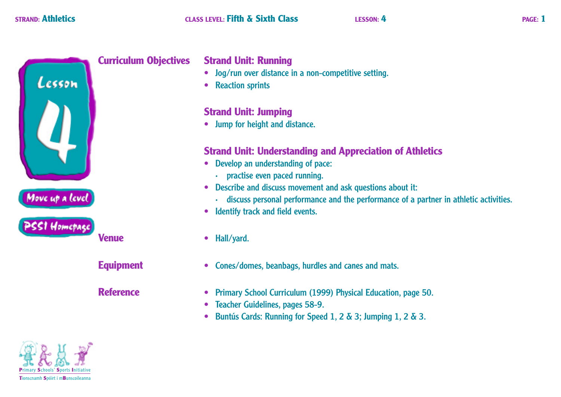

**Equipment** 

**Reference** 

# **Strand Unit: Running**

- Jog/run over distance in a non-competitive setting.
- Reaction sprints

# **Strand Unit: Jumping**

• Jump for height and distance.

# **Strand Unit: Understanding and Appreciation of Athletics**

- Develop an understanding of pace:
	- · practise even paced running.
- Describe and discuss movement and ask questions about it:
	- discuss personal performance and the performance of a partner in athletic activities.
- Identify track and field events.
- · Hall/yard.
- Cones/domes, beanbags, hurdles and canes and mats.
- Primary School Curriculum (1999) Physical Education, page 50.
- Teacher Guidelines, pages 58-9.  $\bullet$
- Buntús Cards: Running for Speed 1, 2 & 3; Jumping 1, 2 & 3.  $\bullet$

mh Spóirt i mBunscoileann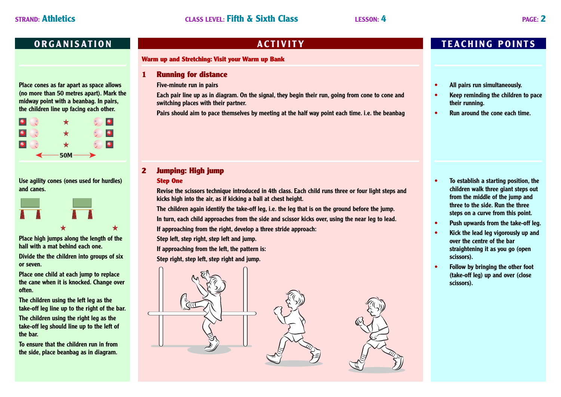**Place cones as far apart as space allows (no more than 50 metres apart). Mark the midway point with a beanbag. In pairs, the children line up facing each other.**



**Use agility cones (ones used for hurdles) and canes.**



**Place high jumps along the length of the hall with a mat behind each one. Divide the the children into groups of six or seven.**

**Place one child at each jump to replace the cane when it is knocked. Change over often.**

**The children using the left leg as the take-off leg line up to the right of the bar.**

**The children using the right leg as the take-off leg should line up to the left of the bar.**

**To ensure that the children run in from the side, place beanbag as in diagram.**

#### **Warm up and Stretching: Visit your Warm up Bank**

**1 Running for distance**

**Five-minute run in pairs**

**Each pair line up as in diagram. On the signal, they begin their run, going from cone to cone and switching places with their partner.**

**Pairs should aim to pace themselves by meeting at the half way point each time. i.e. the beanbag**

### **2 Jumping: High jump**

#### **Step One**

**Revise the scissors technique introduced in 4th class. Each child runs three or four light steps and kicks high into the air, as if kicking a ball at chest height.**

**The children again identify the take-off leg, i.e. the leg that is on the ground before the jump.**

**In turn, each child approaches from the side and scissor kicks over, using the near leg to lead.**

**If approaching from the right, develop a three stride approach:**

**Step left, step right, step left and jump.**

**If approaching from the left, the pattern is:**

**Step right, step left, step right and jump.**



## **ORGANISATION ACTIVITY TEACHING POINTS**

- **• All pairs run simultaneously.**
- **• Keep reminding the children to pace their running.**
- **• Run around the cone each time.**

- **• To establish a starting position, the children walk three giant steps out from the middle of the jump and three to the side. Run the three steps on a curve from this point.**
- **• Push upwards from the take-off leg.**
- **• Kick the lead leg vigorously up and over the centre of the bar straightening it as you go (open scissors).**
- **• Follow by bringing the other foot (take-off leg) up and over (close scissors).**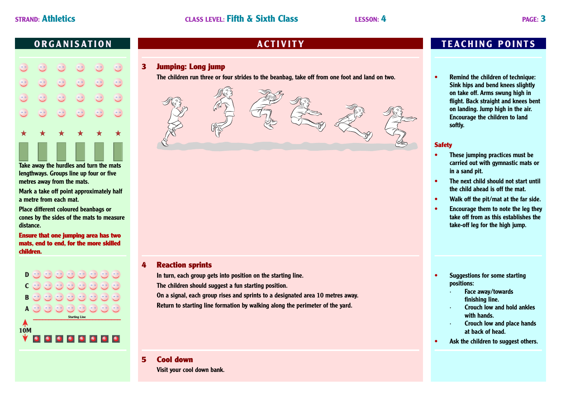| $\bigstar$                  | ★                                               | $\bigstar$                    | ★                           | ★                           | $\bigstar$             |
|-----------------------------|-------------------------------------------------|-------------------------------|-----------------------------|-----------------------------|------------------------|
| $\circ$ $\circ$<br>$\smile$ | $\bullet$ $\bullet$<br>$\overline{\phantom{0}}$ | $\mathbb{C}$                  | $\circ$ $\circ$<br>$\smile$ | ಲಿ                          | $\circ$ $\circ$<br>ر   |
| $\circ$ $\circ$<br>$\smile$ | $\circ$ $\circ$<br>$\smile$                     | $\bullet$ $\circ$<br>$\smile$ | $\circ$ $\circ$<br>$\smile$ | $\circ$ $\circ$<br>$\smile$ | $\circ$ $\circ$<br>U D |
| $\circ$ $\circ$<br>$\smile$ | $\circ$ $\circ$<br>ー                            | $\bullet$ $\circ$<br>$\smile$ | ಲಿ                          | $\circ$ $\circ$<br>$\smile$ | $\circ$ $\circ$<br>ر   |
| $\circ$ $\circ$<br>$\smile$ | $\circ$ $\circ$<br>$\smile$                     | ಲಿ                            | $\mathbb{C}^{\circ}$        | ಲಿ                          | $\circ$ $\circ$<br>. . |
|                             |                                                 |                               |                             |                             |                        |

**Take away the hurdles and turn the mats lengthways. Groups line up four or five metres away from the mats.**

**Mark a take off point approximately half a metre from each mat.**

**Place different coloured beanbags or cones by the sides of the mats to measure distance.**

**Ensure that one jumping area has two mats, end to end, for the more skilled children.**



### **3 Jumping: Long jump**

**The children run three or four strides to the beanbag, take off from one foot and land on two.**



### **4 Reaction sprints**

**In turn, each group gets into position on the starting line. The children should suggest a fun starting position.**

**On a signal, each group rises and sprints to a designated area 10 metres away. Return to starting line formation by walking along the perimeter of the yard.**

# **5 Cool down**

**Visit your cool down bank.**

# **ORGANISATION ACTIVITY TEACHING POINTS**

**• Remind the children of technique: Sink hips and bend knees slightly on take off. Arms swung high in flight. Back straight and knees bent on landing. Jump high in the air. Encourage the children to land softly.**

#### **Safety**

- **• These jumping practices must be carried out with gymnastic mats or in a sand pit.**
- **• The next child should not start until the child ahead is off the mat.**
- **• Walk off the pit/mat at the far side.**
- **• Encourage them to note the leg they take off from as this establishes the take-off leg for the high jump.**

- **• Suggestions for some starting positions:**
	- **· Face away/towards finishing line.**
	- **· Crouch low and hold ankles with hands.**
	- **· Crouch low and place hands at back of head.**
- **• Ask the children to suggest others.**